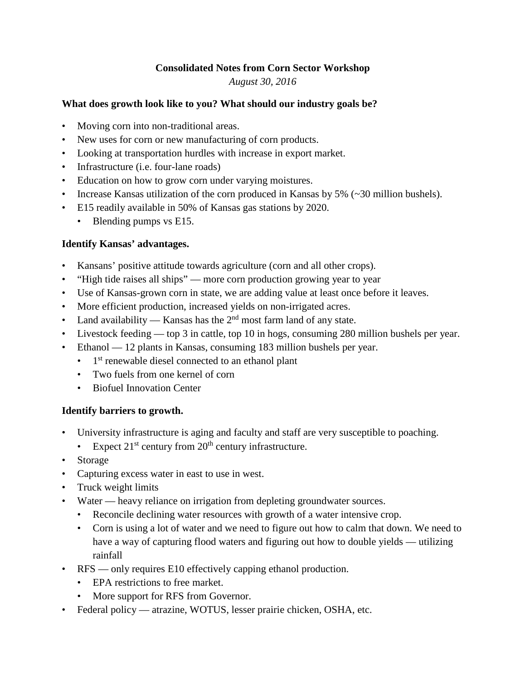#### **Consolidated Notes from Corn Sector Workshop** *August 30, 2016*

#### **What does growth look like to you? What should our industry goals be?**

- Moving corn into non-traditional areas.
- New uses for corn or new manufacturing of corn products.
- Looking at transportation hurdles with increase in export market.
- Infrastructure (i.e. four-lane roads)
- Education on how to grow corn under varying moistures.
- Increase Kansas utilization of the corn produced in Kansas by 5% (~30 million bushels).
- E15 readily available in 50% of Kansas gas stations by 2020.
	- Blending pumps vs E15.

# **Identify Kansas' advantages.**

- Kansans' positive attitude towards agriculture (corn and all other crops).
- "High tide raises all ships" more corn production growing year to year
- Use of Kansas-grown corn in state, we are adding value at least once before it leaves.
- More efficient production, increased yields on non-irrigated acres.
- Land availability Kansas has the  $2<sup>nd</sup>$  most farm land of any state.
- Livestock feeding top 3 in cattle, top 10 in hogs, consuming 280 million bushels per year.
- Ethanol 12 plants in Kansas, consuming 183 million bushels per year.
	- $\bullet$  1<sup>st</sup> renewable diesel connected to an ethanol plant
	- Two fuels from one kernel of corn
	- Biofuel Innovation Center

# **Identify barriers to growth.**

- University infrastructure is aging and faculty and staff are very susceptible to poaching.
	- Expect  $21^{st}$  century from  $20^{th}$  century infrastructure.
- Storage
- Capturing excess water in east to use in west.
- Truck weight limits
- Water heavy reliance on irrigation from depleting groundwater sources.
	- Reconcile declining water resources with growth of a water intensive crop.
	- Corn is using a lot of water and we need to figure out how to calm that down. We need to have a way of capturing flood waters and figuring out how to double yields — utilizing rainfall
- RFS only requires E10 effectively capping ethanol production.
	- EPA restrictions to free market.
	- More support for RFS from Governor.
- Federal policy atrazine, WOTUS, lesser prairie chicken, OSHA, etc.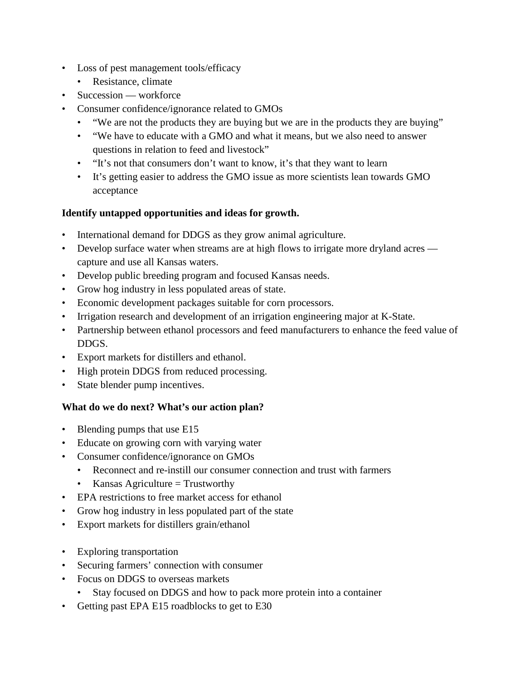- Loss of pest management tools/efficacy
	- Resistance, climate
- Succession workforce
- Consumer confidence/ignorance related to GMOs
	- "We are not the products they are buying but we are in the products they are buying"
	- "We have to educate with a GMO and what it means, but we also need to answer questions in relation to feed and livestock"
	- "It's not that consumers don't want to know, it's that they want to learn
	- It's getting easier to address the GMO issue as more scientists lean towards GMO acceptance

#### **Identify untapped opportunities and ideas for growth.**

- International demand for DDGS as they grow animal agriculture.
- Develop surface water when streams are at high flows to irrigate more dryland acres capture and use all Kansas waters.
- Develop public breeding program and focused Kansas needs.
- Grow hog industry in less populated areas of state.
- Economic development packages suitable for corn processors.
- Irrigation research and development of an irrigation engineering major at K-State.
- Partnership between ethanol processors and feed manufacturers to enhance the feed value of DDGS.
- Export markets for distillers and ethanol.
- High protein DDGS from reduced processing.
- State blender pump incentives.

# **What do we do next? What's our action plan?**

- Blending pumps that use E15
- Educate on growing corn with varying water
- Consumer confidence/ignorance on GMOs
	- Reconnect and re-instill our consumer connection and trust with farmers
	- Kansas Agriculture  $=$  Trustworthy
- EPA restrictions to free market access for ethanol
- Grow hog industry in less populated part of the state
- Export markets for distillers grain/ethanol
- Exploring transportation
- Securing farmers' connection with consumer
- Focus on DDGS to overseas markets
	- Stay focused on DDGS and how to pack more protein into a container
- Getting past EPA E15 roadblocks to get to E30